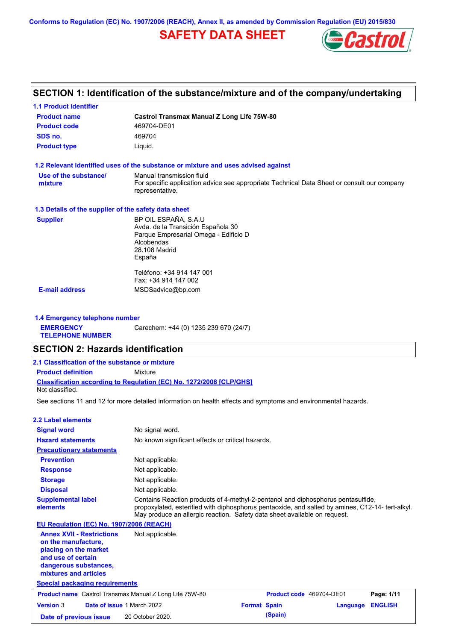**Conforms to Regulation (EC) No. 1907/2006 (REACH), Annex II, as amended by Commission Regulation (EU) 2015/830**

# **SAFETY DATA SHEET**



## **SECTION 1: Identification of the substance/mixture and of the company/undertaking**

| <b>1.1 Product identifier</b>                        |                                                                                                                |  |  |
|------------------------------------------------------|----------------------------------------------------------------------------------------------------------------|--|--|
| <b>Product name</b>                                  | <b>Castrol Transmax Manual Z Long Life 75W-80</b>                                                              |  |  |
| <b>Product code</b>                                  | 469704-DE01                                                                                                    |  |  |
| SDS no.                                              | 469704                                                                                                         |  |  |
| <b>Product type</b>                                  | Liquid.                                                                                                        |  |  |
|                                                      | 1.2 Relevant identified uses of the substance or mixture and uses advised against                              |  |  |
| Use of the substance/                                | Manual transmission fluid                                                                                      |  |  |
| mixture                                              | For specific application advice see appropriate Technical Data Sheet or consult our company<br>representative. |  |  |
| 1.3 Details of the supplier of the safety data sheet |                                                                                                                |  |  |
| <b>Supplier</b>                                      | BP OIL ESPAÑA, S.A.U                                                                                           |  |  |
|                                                      | Avda. de la Transición Española 30                                                                             |  |  |
|                                                      | Parque Empresarial Omega - Edificio D<br>Alcobendas                                                            |  |  |
|                                                      | 28.108 Madrid                                                                                                  |  |  |
|                                                      | España                                                                                                         |  |  |
|                                                      | Teléfono: +34 914 147 001                                                                                      |  |  |
|                                                      | Fax: +34 914 147 002                                                                                           |  |  |
| <b>E-mail address</b>                                | MSDSadvice@bp.com                                                                                              |  |  |
|                                                      |                                                                                                                |  |  |

**1.4 Emergency telephone number EMERGENCY TELEPHONE NUMBER** Carechem: +44 (0) 1235 239 670 (24/7)

## **SECTION 2: Hazards identification**

| 2.1 Classification of the substance or mixture |                                                                            |  |
|------------------------------------------------|----------------------------------------------------------------------------|--|
| <b>Product definition</b>                      | Mixture                                                                    |  |
| Not classified.                                | <b>Classification according to Regulation (EC) No. 1272/2008 [CLP/GHS]</b> |  |

See sections 11 and 12 for more detailed information on health effects and symptoms and environmental hazards.

| 2.2 Label elements                                                                                                                                       |                                                                                                                                                                                                                                                                   |                     |                          |                |
|----------------------------------------------------------------------------------------------------------------------------------------------------------|-------------------------------------------------------------------------------------------------------------------------------------------------------------------------------------------------------------------------------------------------------------------|---------------------|--------------------------|----------------|
| <b>Signal word</b>                                                                                                                                       | No signal word.                                                                                                                                                                                                                                                   |                     |                          |                |
| <b>Hazard statements</b>                                                                                                                                 | No known significant effects or critical hazards.                                                                                                                                                                                                                 |                     |                          |                |
| <b>Precautionary statements</b>                                                                                                                          |                                                                                                                                                                                                                                                                   |                     |                          |                |
| <b>Prevention</b>                                                                                                                                        | Not applicable.                                                                                                                                                                                                                                                   |                     |                          |                |
| <b>Response</b>                                                                                                                                          | Not applicable.                                                                                                                                                                                                                                                   |                     |                          |                |
| <b>Storage</b>                                                                                                                                           | Not applicable.                                                                                                                                                                                                                                                   |                     |                          |                |
| <b>Disposal</b>                                                                                                                                          | Not applicable.                                                                                                                                                                                                                                                   |                     |                          |                |
| <b>Supplemental label</b><br>elements                                                                                                                    | Contains Reaction products of 4-methyl-2-pentanol and diphosphorus pentasulfide,<br>propoxylated, esterified with diphosphorus pentaoxide, and salted by amines, C12-14- tert-alkyl.<br>May produce an allergic reaction. Safety data sheet available on request. |                     |                          |                |
| EU Regulation (EC) No. 1907/2006 (REACH)                                                                                                                 |                                                                                                                                                                                                                                                                   |                     |                          |                |
| <b>Annex XVII - Restrictions</b><br>on the manufacture,<br>placing on the market<br>and use of certain<br>dangerous substances,<br>mixtures and articles | Not applicable.                                                                                                                                                                                                                                                   |                     |                          |                |
| <b>Special packaging requirements</b>                                                                                                                    |                                                                                                                                                                                                                                                                   |                     |                          |                |
| <b>Product name</b> Castrol Transmax Manual Z Long Life 75W-80                                                                                           |                                                                                                                                                                                                                                                                   |                     | Product code 469704-DE01 | Page: 1/11     |
| <b>Version 3</b>                                                                                                                                         | Date of issue 1 March 2022                                                                                                                                                                                                                                        | <b>Format Spain</b> | Language                 | <b>ENGLISH</b> |
| Date of previous issue                                                                                                                                   | 20 October 2020.                                                                                                                                                                                                                                                  | (Spain)             |                          |                |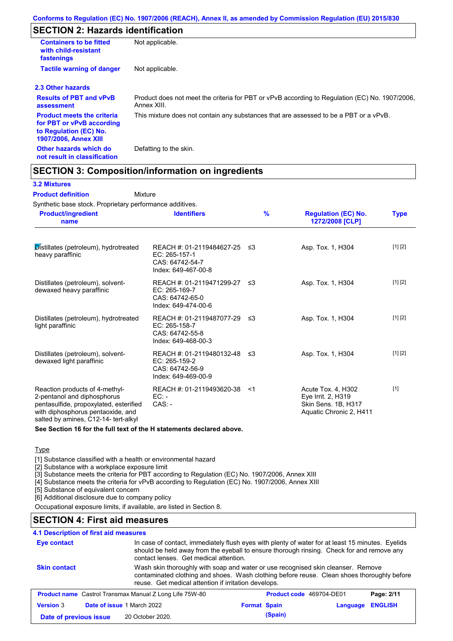# **SECTION 2: Hazards identification**

| <b>Containers to be fitted</b><br>with child-resistant<br>fastenings                                                     | Not applicable.                                                                                               |
|--------------------------------------------------------------------------------------------------------------------------|---------------------------------------------------------------------------------------------------------------|
| <b>Tactile warning of danger</b>                                                                                         | Not applicable.                                                                                               |
| 2.3 Other hazards                                                                                                        |                                                                                                               |
| <b>Results of PBT and vPvB</b><br>assessment                                                                             | Product does not meet the criteria for PBT or vPvB according to Regulation (EC) No. 1907/2006,<br>Annex XIII. |
| <b>Product meets the criteria</b><br>for PBT or vPvB according<br>to Regulation (EC) No.<br><b>1907/2006, Annex XIII</b> | This mixture does not contain any substances that are assessed to be a PBT or a vPvB.                         |
| Other hazards which do<br>not result in classification                                                                   | Defatting to the skin.                                                                                        |

## **SECTION 3: Composition/information on ingredients**

Mixture

### **3.2 Mixtures**

### **Product definition**

Synthetic base stock. Proprietary performance additives.

| <b>Product/ingredient</b><br>name                                                                                                                                                    | <b>Identifiers</b>                                                                        | $\frac{9}{6}$ | <b>Regulation (EC) No.</b><br>1272/2008 [CLP]                                              | <b>Type</b> |
|--------------------------------------------------------------------------------------------------------------------------------------------------------------------------------------|-------------------------------------------------------------------------------------------|---------------|--------------------------------------------------------------------------------------------|-------------|
| Distillates (petroleum), hydrotreated<br>heavy paraffinic                                                                                                                            | REACH #: 01-2119484627-25 ≤3<br>EC: 265-157-1<br>CAS: 64742-54-7<br>Index: 649-467-00-8   |               | Asp. Tox. 1, H304                                                                          | [1] [2]     |
| Distillates (petroleum), solvent-<br>dewaxed heavy paraffinic                                                                                                                        | REACH #: 01-2119471299-27 ≤3<br>$EC: 265-169-7$<br>CAS: 64742-65-0<br>Index: 649-474-00-6 |               | Asp. Tox. 1, H304                                                                          | [1] [2]     |
| Distillates (petroleum), hydrotreated<br>light paraffinic                                                                                                                            | REACH #: 01-2119487077-29 ≤3<br>EC: 265-158-7<br>CAS: 64742-55-8<br>Index: 649-468-00-3   |               | Asp. Tox. 1, H304                                                                          | [1] [2]     |
| Distillates (petroleum), solvent-<br>dewaxed light paraffinic                                                                                                                        | REACH #: 01-2119480132-48<br>EC: 265-159-2<br>CAS: 64742-56-9<br>Index: 649-469-00-9      | -≤3           | Asp. Tox. 1, H304                                                                          | [1] [2]     |
| Reaction products of 4-methyl-<br>2-pentanol and diphosphorus<br>pentasulfide, propoxylated, esterified<br>with diphosphorus pentaoxide, and<br>salted by amines, C12-14- tert-alkyl | REACH #: 01-2119493620-38<br>$EC:$ -<br>$CAS: -$                                          | <1            | Acute Tox. 4, H302<br>Eye Irrit. 2, H319<br>Skin Sens. 1B, H317<br>Aquatic Chronic 2, H411 | $[1]$       |

**See Section 16 for the full text of the H statements declared above.**

#### Type

[1] Substance classified with a health or environmental hazard

[2] Substance with a workplace exposure limit

[3] Substance meets the criteria for PBT according to Regulation (EC) No. 1907/2006, Annex XIII

[4] Substance meets the criteria for vPvB according to Regulation (EC) No. 1907/2006, Annex XIII

[5] Substance of equivalent concern

[6] Additional disclosure due to company policy

Occupational exposure limits, if available, are listed in Section 8.

## **SECTION 4: First aid measures**

### **4.1 Description of first aid measures**

| <b>Eye contact</b>                                             | In case of contact, immediately flush eyes with plenty of water for at least 15 minutes. Eyelids<br>should be held away from the eyeball to ensure thorough rinsing. Check for and remove any<br>contact lenses. Get medical attention. |                     |                          |          |                |
|----------------------------------------------------------------|-----------------------------------------------------------------------------------------------------------------------------------------------------------------------------------------------------------------------------------------|---------------------|--------------------------|----------|----------------|
| <b>Skin contact</b>                                            | Wash skin thoroughly with soap and water or use recognised skin cleanser. Remove<br>contaminated clothing and shoes. Wash clothing before reuse. Clean shoes thoroughly before<br>reuse. Get medical attention if irritation develops.  |                     |                          |          |                |
| <b>Product name</b> Castrol Transmax Manual Z Long Life 75W-80 |                                                                                                                                                                                                                                         |                     | Product code 469704-DE01 |          | Page: 2/11     |
| <b>Version 3</b><br>Date of issue 1 March 2022                 |                                                                                                                                                                                                                                         | <b>Format Spain</b> |                          | Language | <b>ENGLISH</b> |
| Date of previous issue                                         | 20 October 2020.                                                                                                                                                                                                                        |                     | (Spain)                  |          |                |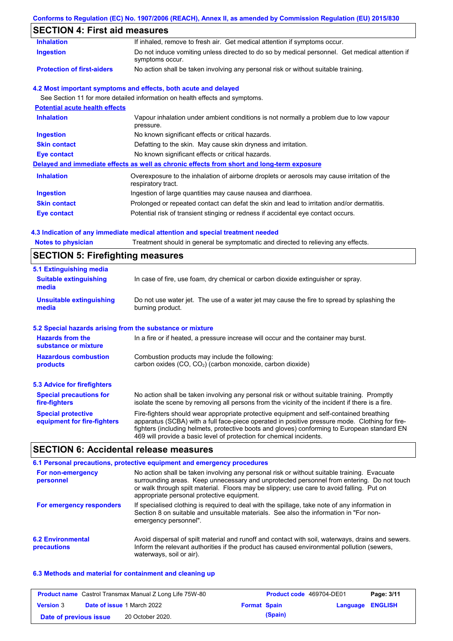## **Conforms to Regulation (EC) No. 1907/2006 (REACH), Annex II, as amended by Commission Regulation (EU) 2015/830**

# **SECTION 4: First aid measures**

| <b>SECTION 5: Firefighting measures</b>                                                                           |
|-------------------------------------------------------------------------------------------------------------------|
|                                                                                                                   |
| Treatment should in general be symptomatic and directed to relieving any effects.                                 |
| 4.3 Indication of any immediate medical attention and special treatment needed                                    |
| Potential risk of transient stinging or redness if accidental eye contact occurs.                                 |
| Prolonged or repeated contact can defat the skin and lead to irritation and/or dermatitis.                        |
| Ingestion of large quantities may cause nausea and diarrhoea.                                                     |
| Overexposure to the inhalation of airborne droplets or aerosols may cause irritation of the<br>respiratory tract. |
| Delayed and immediate effects as well as chronic effects from short and long-term exposure                        |
| No known significant effects or critical hazards.                                                                 |
| Defatting to the skin. May cause skin dryness and irritation.                                                     |
| No known significant effects or critical hazards.                                                                 |
| Vapour inhalation under ambient conditions is not normally a problem due to low vapour<br>pressure.               |
|                                                                                                                   |
| See Section 11 for more detailed information on health effects and symptoms.                                      |
| 4.2 Most important symptoms and effects, both acute and delayed                                                   |
| No action shall be taken involving any personal risk or without suitable training.                                |
| Do not induce vomiting unless directed to do so by medical personnel. Get medical attention if<br>symptoms occur. |
| If inhaled, remove to fresh air. Get medical attention if symptoms occur.                                         |
| <b>Potential acute health effects</b>                                                                             |

| 5.1 Extinguishing media                                   |                                                                                                                                                                                                                                                                                                                                                                   |  |  |
|-----------------------------------------------------------|-------------------------------------------------------------------------------------------------------------------------------------------------------------------------------------------------------------------------------------------------------------------------------------------------------------------------------------------------------------------|--|--|
| <b>Suitable extinguishing</b><br>media                    | In case of fire, use foam, dry chemical or carbon dioxide extinguisher or spray.                                                                                                                                                                                                                                                                                  |  |  |
| <b>Unsuitable extinguishing</b><br>media                  | Do not use water jet. The use of a water jet may cause the fire to spread by splashing the<br>burning product.                                                                                                                                                                                                                                                    |  |  |
| 5.2 Special hazards arising from the substance or mixture |                                                                                                                                                                                                                                                                                                                                                                   |  |  |
| <b>Hazards from the</b><br>substance or mixture           | In a fire or if heated, a pressure increase will occur and the container may burst.                                                                                                                                                                                                                                                                               |  |  |
| <b>Hazardous combustion</b>                               | Combustion products may include the following:                                                                                                                                                                                                                                                                                                                    |  |  |
| products                                                  | carbon oxides (CO, CO <sub>2</sub> ) (carbon monoxide, carbon dioxide)                                                                                                                                                                                                                                                                                            |  |  |
| 5.3 Advice for firefighters                               |                                                                                                                                                                                                                                                                                                                                                                   |  |  |
| <b>Special precautions for</b><br>fire-fighters           | No action shall be taken involving any personal risk or without suitable training. Promptly<br>isolate the scene by removing all persons from the vicinity of the incident if there is a fire.                                                                                                                                                                    |  |  |
| <b>Special protective</b><br>equipment for fire-fighters  | Fire-fighters should wear appropriate protective equipment and self-contained breathing<br>apparatus (SCBA) with a full face-piece operated in positive pressure mode. Clothing for fire-<br>fighters (including helmets, protective boots and gloves) conforming to European standard EN<br>469 will provide a basic level of protection for chemical incidents. |  |  |
|                                                           |                                                                                                                                                                                                                                                                                                                                                                   |  |  |

# **SECTION 6: Accidental release measures**

|                                         | 6.1 Personal precautions, protective equipment and emergency procedures                                                                                                                                                                                                                                                             |
|-----------------------------------------|-------------------------------------------------------------------------------------------------------------------------------------------------------------------------------------------------------------------------------------------------------------------------------------------------------------------------------------|
| For non-emergency<br>personnel          | No action shall be taken involving any personal risk or without suitable training. Evacuate<br>surrounding areas. Keep unnecessary and unprotected personnel from entering. Do not touch<br>or walk through spilt material. Floors may be slippery; use care to avoid falling. Put on<br>appropriate personal protective equipment. |
| For emergency responders                | If specialised clothing is required to deal with the spillage, take note of any information in<br>Section 8 on suitable and unsuitable materials. See also the information in "For non-<br>emergency personnel".                                                                                                                    |
| <b>6.2 Environmental</b><br>precautions | Avoid dispersal of spilt material and runoff and contact with soil, waterways, drains and sewers.<br>Inform the relevant authorities if the product has caused environmental pollution (sewers,<br>waterways, soil or air).                                                                                                         |

### **6.3 Methods and material for containment and cleaning up**

|                        | <b>Product name</b> Castrol Transmax Manual Z Long Life 75W-80 |                     | <b>Product code</b> 469704-DE01 |                  | Page: 3/11 |
|------------------------|----------------------------------------------------------------|---------------------|---------------------------------|------------------|------------|
| <b>Version 3</b>       | <b>Date of issue 1 March 2022</b>                              | <b>Format Spain</b> |                                 | Language ENGLISH |            |
| Date of previous issue | 20 October 2020.                                               |                     | (Spain)                         |                  |            |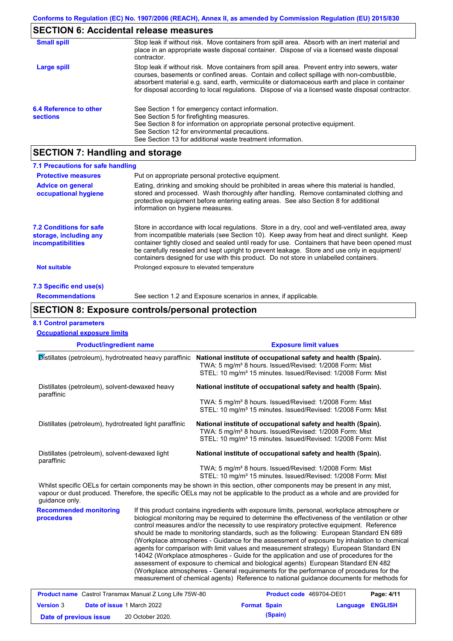# **SECTION 6: Accidental release measures**

| <b>Small spill</b>                        | Stop leak if without risk. Move containers from spill area. Absorb with an inert material and<br>place in an appropriate waste disposal container. Dispose of via a licensed waste disposal<br>contractor.                                                                                                                                                                                     |
|-------------------------------------------|------------------------------------------------------------------------------------------------------------------------------------------------------------------------------------------------------------------------------------------------------------------------------------------------------------------------------------------------------------------------------------------------|
| Large spill                               | Stop leak if without risk. Move containers from spill area. Prevent entry into sewers, water<br>courses, basements or confined areas. Contain and collect spillage with non-combustible,<br>absorbent material e.g. sand, earth, vermiculite or diatomaceous earth and place in container<br>for disposal according to local regulations. Dispose of via a licensed waste disposal contractor. |
| 6.4 Reference to other<br><b>sections</b> | See Section 1 for emergency contact information.<br>See Section 5 for firefighting measures.<br>See Section 8 for information on appropriate personal protective equipment.<br>See Section 12 for environmental precautions.<br>See Section 13 for additional waste treatment information.                                                                                                     |

# **SECTION 7: Handling and storage**

| 7.1 Precautions for safe handling                                             |                                                                                                                                                                                                                                                                                                                                                                                                                                                                                          |  |  |  |
|-------------------------------------------------------------------------------|------------------------------------------------------------------------------------------------------------------------------------------------------------------------------------------------------------------------------------------------------------------------------------------------------------------------------------------------------------------------------------------------------------------------------------------------------------------------------------------|--|--|--|
| <b>Protective measures</b>                                                    | Put on appropriate personal protective equipment.                                                                                                                                                                                                                                                                                                                                                                                                                                        |  |  |  |
| <b>Advice on general</b><br>occupational hygiene                              | Eating, drinking and smoking should be prohibited in areas where this material is handled.<br>stored and processed. Wash thoroughly after handling. Remove contaminated clothing and<br>protective equipment before entering eating areas. See also Section 8 for additional<br>information on hygiene measures.                                                                                                                                                                         |  |  |  |
| <b>7.2 Conditions for safe</b><br>storage, including any<br>incompatibilities | Store in accordance with local requlations. Store in a dry, cool and well-ventilated area, away<br>from incompatible materials (see Section 10). Keep away from heat and direct sunlight. Keep<br>container tightly closed and sealed until ready for use. Containers that have been opened must<br>be carefully resealed and kept upright to prevent leakage. Store and use only in equipment/<br>containers designed for use with this product. Do not store in unlabelled containers. |  |  |  |
| <b>Not suitable</b>                                                           | Prolonged exposure to elevated temperature                                                                                                                                                                                                                                                                                                                                                                                                                                               |  |  |  |
| 7.3 Specific end use(s)                                                       |                                                                                                                                                                                                                                                                                                                                                                                                                                                                                          |  |  |  |
| <b>Recommendations</b>                                                        | See section 1.2 and Exposure scenarios in annex, if applicable.                                                                                                                                                                                                                                                                                                                                                                                                                          |  |  |  |

## **SECTION 8: Exposure controls/personal protection**

### **8.1 Control parameters**

| <b>Product/ingredient name</b>                               |  | <b>Exposure limit values</b>                                                                                                                                                                                                                                                                                                                                                                                                                                                                                                                                                                                                                                                                                                                                                                                                                                                                                                                           |  |  |  |
|--------------------------------------------------------------|--|--------------------------------------------------------------------------------------------------------------------------------------------------------------------------------------------------------------------------------------------------------------------------------------------------------------------------------------------------------------------------------------------------------------------------------------------------------------------------------------------------------------------------------------------------------------------------------------------------------------------------------------------------------------------------------------------------------------------------------------------------------------------------------------------------------------------------------------------------------------------------------------------------------------------------------------------------------|--|--|--|
| Distillates (petroleum), hydrotreated heavy paraffinic       |  | National institute of occupational safety and health (Spain).<br>TWA: 5 mg/m <sup>3</sup> 8 hours. Issued/Revised: 1/2008 Form: Mist<br>STEL: 10 mg/m <sup>3</sup> 15 minutes. Issued/Revised: 1/2008 Form: Mist                                                                                                                                                                                                                                                                                                                                                                                                                                                                                                                                                                                                                                                                                                                                       |  |  |  |
| Distillates (petroleum), solvent-dewaxed heavy<br>paraffinic |  | National institute of occupational safety and health (Spain).                                                                                                                                                                                                                                                                                                                                                                                                                                                                                                                                                                                                                                                                                                                                                                                                                                                                                          |  |  |  |
|                                                              |  | TWA: 5 mg/m <sup>3</sup> 8 hours. Issued/Revised: 1/2008 Form: Mist<br>STEL: 10 mg/m <sup>3</sup> 15 minutes. Issued/Revised: 1/2008 Form: Mist                                                                                                                                                                                                                                                                                                                                                                                                                                                                                                                                                                                                                                                                                                                                                                                                        |  |  |  |
| Distillates (petroleum), hydrotreated light paraffinic       |  | National institute of occupational safety and health (Spain).<br>TWA: 5 mg/m <sup>3</sup> 8 hours. Issued/Revised: 1/2008 Form: Mist<br>STEL: 10 mg/m <sup>3</sup> 15 minutes. Issued/Revised: 1/2008 Form: Mist                                                                                                                                                                                                                                                                                                                                                                                                                                                                                                                                                                                                                                                                                                                                       |  |  |  |
| Distillates (petroleum), solvent-dewaxed light<br>paraffinic |  | National institute of occupational safety and health (Spain).                                                                                                                                                                                                                                                                                                                                                                                                                                                                                                                                                                                                                                                                                                                                                                                                                                                                                          |  |  |  |
|                                                              |  | TWA: 5 mg/m <sup>3</sup> 8 hours. Issued/Revised: 1/2008 Form: Mist<br>STEL: 10 mg/m <sup>3</sup> 15 minutes. Issued/Revised: 1/2008 Form: Mist                                                                                                                                                                                                                                                                                                                                                                                                                                                                                                                                                                                                                                                                                                                                                                                                        |  |  |  |
| guidance only.                                               |  | Whilst specific OELs for certain components may be shown in this section, other components may be present in any mist,<br>vapour or dust produced. Therefore, the specific OELs may not be applicable to the product as a whole and are provided for                                                                                                                                                                                                                                                                                                                                                                                                                                                                                                                                                                                                                                                                                                   |  |  |  |
| <b>Recommended monitoring</b><br>procedures                  |  | If this product contains ingredients with exposure limits, personal, workplace atmosphere or<br>biological monitoring may be required to determine the effectiveness of the ventilation or other<br>control measures and/or the necessity to use respiratory protective equipment. Reference<br>should be made to monitoring standards, such as the following: European Standard EN 689<br>(Workplace atmospheres - Guidance for the assessment of exposure by inhalation to chemical<br>agents for comparison with limit values and measurement strategy) European Standard EN<br>14042 (Workplace atmospheres - Guide for the application and use of procedures for the<br>assessment of exposure to chemical and biological agents) European Standard EN 482<br>(Workplace atmospheres - General requirements for the performance of procedures for the<br>measurement of chemical agents) Reference to national guidance documents for methods for |  |  |  |

|                        | <b>Product name</b> Castrol Transmax Manual Z Long Life 75W-80 |                     | <b>Product code</b> 469704-DE01 |                         | Page: 4/11 |
|------------------------|----------------------------------------------------------------|---------------------|---------------------------------|-------------------------|------------|
| <b>Version 3</b>       | <b>Date of issue 1 March 2022</b>                              | <b>Format Spain</b> |                                 | <b>Language ENGLISH</b> |            |
| Date of previous issue | 20 October 2020.                                               |                     | (Spain)                         |                         |            |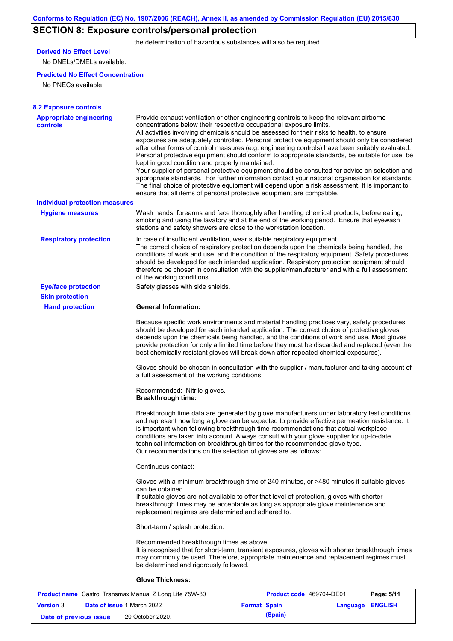# **SECTION 8: Exposure controls/personal protection**

the determination of hazardous substances will also be required.

## **Derived No Effect Level**

No DNELs/DMELs available.

### **Predicted No Effect Concentration**

No PNECs available

| <b>8.2 Exposure controls</b>               |                                                                                                                                                                                                                                                                                                                                                                                                                                                                                                                                                                                                                                                                                                                                                                                                                                                                                                                                                                                                         |
|--------------------------------------------|---------------------------------------------------------------------------------------------------------------------------------------------------------------------------------------------------------------------------------------------------------------------------------------------------------------------------------------------------------------------------------------------------------------------------------------------------------------------------------------------------------------------------------------------------------------------------------------------------------------------------------------------------------------------------------------------------------------------------------------------------------------------------------------------------------------------------------------------------------------------------------------------------------------------------------------------------------------------------------------------------------|
| <b>Appropriate engineering</b><br>controls | Provide exhaust ventilation or other engineering controls to keep the relevant airborne<br>concentrations below their respective occupational exposure limits.<br>All activities involving chemicals should be assessed for their risks to health, to ensure<br>exposures are adequately controlled. Personal protective equipment should only be considered<br>after other forms of control measures (e.g. engineering controls) have been suitably evaluated.<br>Personal protective equipment should conform to appropriate standards, be suitable for use, be<br>kept in good condition and properly maintained.<br>Your supplier of personal protective equipment should be consulted for advice on selection and<br>appropriate standards. For further information contact your national organisation for standards.<br>The final choice of protective equipment will depend upon a risk assessment. It is important to<br>ensure that all items of personal protective equipment are compatible. |
| <b>Individual protection measures</b>      |                                                                                                                                                                                                                                                                                                                                                                                                                                                                                                                                                                                                                                                                                                                                                                                                                                                                                                                                                                                                         |
| <b>Hygiene measures</b>                    | Wash hands, forearms and face thoroughly after handling chemical products, before eating,<br>smoking and using the lavatory and at the end of the working period. Ensure that eyewash<br>stations and safety showers are close to the workstation location.                                                                                                                                                                                                                                                                                                                                                                                                                                                                                                                                                                                                                                                                                                                                             |
| <b>Respiratory protection</b>              | In case of insufficient ventilation, wear suitable respiratory equipment.<br>The correct choice of respiratory protection depends upon the chemicals being handled, the<br>conditions of work and use, and the condition of the respiratory equipment. Safety procedures<br>should be developed for each intended application. Respiratory protection equipment should<br>therefore be chosen in consultation with the supplier/manufacturer and with a full assessment<br>of the working conditions.                                                                                                                                                                                                                                                                                                                                                                                                                                                                                                   |
| <b>Eye/face protection</b>                 | Safety glasses with side shields.                                                                                                                                                                                                                                                                                                                                                                                                                                                                                                                                                                                                                                                                                                                                                                                                                                                                                                                                                                       |
| <b>Skin protection</b>                     |                                                                                                                                                                                                                                                                                                                                                                                                                                                                                                                                                                                                                                                                                                                                                                                                                                                                                                                                                                                                         |
| <b>Hand protection</b>                     | <b>General Information:</b>                                                                                                                                                                                                                                                                                                                                                                                                                                                                                                                                                                                                                                                                                                                                                                                                                                                                                                                                                                             |
|                                            | Because specific work environments and material handling practices vary, safety procedures<br>should be developed for each intended application. The correct choice of protective gloves<br>depends upon the chemicals being handled, and the conditions of work and use. Most gloves<br>provide protection for only a limited time before they must be discarded and replaced (even the<br>best chemically resistant gloves will break down after repeated chemical exposures).                                                                                                                                                                                                                                                                                                                                                                                                                                                                                                                        |
|                                            | Gloves should be chosen in consultation with the supplier / manufacturer and taking account of<br>a full assessment of the working conditions.                                                                                                                                                                                                                                                                                                                                                                                                                                                                                                                                                                                                                                                                                                                                                                                                                                                          |
|                                            | Recommended: Nitrile gloves.<br><b>Breakthrough time:</b>                                                                                                                                                                                                                                                                                                                                                                                                                                                                                                                                                                                                                                                                                                                                                                                                                                                                                                                                               |
|                                            | Breakthrough time data are generated by glove manufacturers under laboratory test conditions<br>and represent how long a glove can be expected to provide effective permeation resistance. It<br>is important when following breakthrough time recommendations that actual workplace<br>conditions are taken into account. Always consult with your glove supplier for up-to-date<br>technical information on breakthrough times for the recommended glove type.<br>Our recommendations on the selection of gloves are as follows:                                                                                                                                                                                                                                                                                                                                                                                                                                                                      |
|                                            | Continuous contact:                                                                                                                                                                                                                                                                                                                                                                                                                                                                                                                                                                                                                                                                                                                                                                                                                                                                                                                                                                                     |
|                                            | Gloves with a minimum breakthrough time of 240 minutes, or >480 minutes if suitable gloves<br>can be obtained.<br>If suitable gloves are not available to offer that level of protection, gloves with shorter<br>breakthrough times may be acceptable as long as appropriate glove maintenance and<br>replacement regimes are determined and adhered to.                                                                                                                                                                                                                                                                                                                                                                                                                                                                                                                                                                                                                                                |
|                                            | Short-term / splash protection:                                                                                                                                                                                                                                                                                                                                                                                                                                                                                                                                                                                                                                                                                                                                                                                                                                                                                                                                                                         |
|                                            | Recommended breakthrough times as above.<br>It is recognised that for short-term, transient exposures, gloves with shorter breakthrough times<br>may commonly be used. Therefore, appropriate maintenance and replacement regimes must<br>be determined and rigorously followed.                                                                                                                                                                                                                                                                                                                                                                                                                                                                                                                                                                                                                                                                                                                        |
|                                            | <b>Glove Thickness:</b>                                                                                                                                                                                                                                                                                                                                                                                                                                                                                                                                                                                                                                                                                                                                                                                                                                                                                                                                                                                 |
|                                            |                                                                                                                                                                                                                                                                                                                                                                                                                                                                                                                                                                                                                                                                                                                                                                                                                                                                                                                                                                                                         |

| <b>Product name</b> Castrol Transmax Manual Z Long Life 75W-80 |  |                                   |                     | <b>Product code</b> 469704-DE01 |                         | Page: 5/11 |
|----------------------------------------------------------------|--|-----------------------------------|---------------------|---------------------------------|-------------------------|------------|
| <b>Version 3</b>                                               |  | <b>Date of issue 1 March 2022</b> | <b>Format Spain</b> |                                 | <b>Language ENGLISH</b> |            |
| Date of previous issue                                         |  | 20 October 2020.                  |                     | (Spain)                         |                         |            |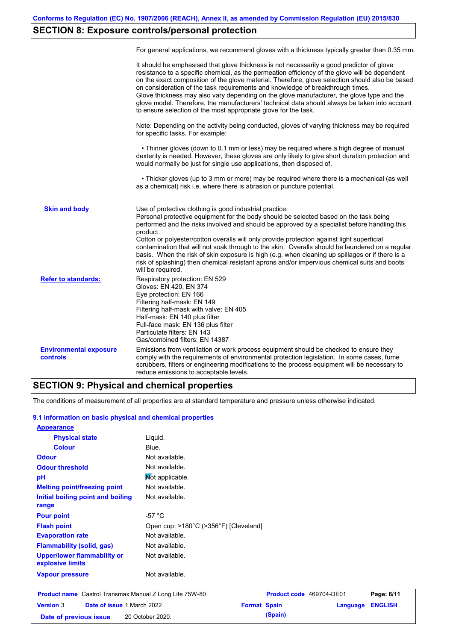# **SECTION 8: Exposure controls/personal protection**

|                                           | For general applications, we recommend gloves with a thickness typically greater than 0.35 mm.                                                                                                                                                                                                                                                                                                                                                                                                                                                                                                                                                                                        |
|-------------------------------------------|---------------------------------------------------------------------------------------------------------------------------------------------------------------------------------------------------------------------------------------------------------------------------------------------------------------------------------------------------------------------------------------------------------------------------------------------------------------------------------------------------------------------------------------------------------------------------------------------------------------------------------------------------------------------------------------|
|                                           | It should be emphasised that glove thickness is not necessarily a good predictor of glove<br>resistance to a specific chemical, as the permeation efficiency of the glove will be dependent<br>on the exact composition of the glove material. Therefore, glove selection should also be based<br>on consideration of the task requirements and knowledge of breakthrough times.<br>Glove thickness may also vary depending on the glove manufacturer, the glove type and the<br>glove model. Therefore, the manufacturers' technical data should always be taken into account<br>to ensure selection of the most appropriate glove for the task.                                     |
|                                           | Note: Depending on the activity being conducted, gloves of varying thickness may be required<br>for specific tasks. For example:                                                                                                                                                                                                                                                                                                                                                                                                                                                                                                                                                      |
|                                           | • Thinner gloves (down to 0.1 mm or less) may be required where a high degree of manual<br>dexterity is needed. However, these gloves are only likely to give short duration protection and<br>would normally be just for single use applications, then disposed of.                                                                                                                                                                                                                                                                                                                                                                                                                  |
|                                           | • Thicker gloves (up to 3 mm or more) may be required where there is a mechanical (as well<br>as a chemical) risk i.e. where there is abrasion or puncture potential.                                                                                                                                                                                                                                                                                                                                                                                                                                                                                                                 |
| <b>Skin and body</b>                      | Use of protective clothing is good industrial practice.<br>Personal protective equipment for the body should be selected based on the task being<br>performed and the risks involved and should be approved by a specialist before handling this<br>product.<br>Cotton or polyester/cotton overalls will only provide protection against light superficial<br>contamination that will not soak through to the skin. Overalls should be laundered on a regular<br>basis. When the risk of skin exposure is high (e.g. when cleaning up spillages or if there is a<br>risk of splashing) then chemical resistant aprons and/or impervious chemical suits and boots<br>will be required. |
| <b>Refer to standards:</b>                | Respiratory protection: EN 529<br>Gloves: EN 420, EN 374<br>Eye protection: EN 166<br>Filtering half-mask: EN 149<br>Filtering half-mask with valve: EN 405<br>Half-mask: EN 140 plus filter<br>Full-face mask: EN 136 plus filter<br>Particulate filters: EN 143<br>Gas/combined filters: EN 14387                                                                                                                                                                                                                                                                                                                                                                                   |
| <b>Environmental exposure</b><br>controls | Emissions from ventilation or work process equipment should be checked to ensure they<br>comply with the requirements of environmental protection legislation. In some cases, fume<br>scrubbers, filters or engineering modifications to the process equipment will be necessary to<br>reduce emissions to acceptable levels.                                                                                                                                                                                                                                                                                                                                                         |

### **SECTION 9: Physical and chemical properties**

The conditions of measurement of all properties are at standard temperature and pressure unless otherwise indicated.

### **9.1 Information on basic physical and chemical properties**

| <b>Appearance</b>                               |                                       |
|-------------------------------------------------|---------------------------------------|
| <b>Physical state</b>                           | Liquid.                               |
| <b>Colour</b>                                   | Blue.                                 |
| <b>Odour</b>                                    | Not available.                        |
| <b>Odour threshold</b>                          | Not available.                        |
| рH                                              | Mot applicable.                       |
| <b>Melting point/freezing point</b>             | Not available.                        |
| Initial boiling point and boiling               | Not available.                        |
| range                                           |                                       |
| <b>Pour point</b>                               | -57 $^{\circ}$ C                      |
| <b>Flash point</b>                              | Open cup: >180°C (>356°F) [Cleveland] |
| <b>Evaporation rate</b>                         | Not available.                        |
| <b>Flammability (solid, gas)</b>                | Not available.                        |
| Upper/lower flammability or<br>explosive limits | Not available.                        |
| <b>Vapour pressure</b>                          | Not available.                        |

|                        | <b>Product name</b> Castrol Transmax Manual Z Long Life 75W-80 |                     | <b>Product code</b> 469704-DE01 |                  | Page: 6/11 |
|------------------------|----------------------------------------------------------------|---------------------|---------------------------------|------------------|------------|
| <b>Version 3</b>       | <b>Date of issue 1 March 2022</b>                              | <b>Format Spain</b> |                                 | Language ENGLISH |            |
| Date of previous issue | 20 October 2020.                                               |                     | (Spain)                         |                  |            |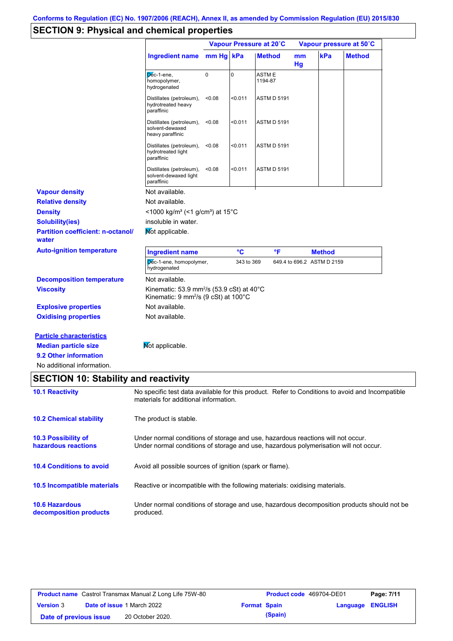# **SECTION 9: Physical and chemical properties**

|                                                                                                                       |                                                                                                                                                                         |           |            | Vapour Pressure at 20°C |          |                            | Vapour pressure at 50°C |
|-----------------------------------------------------------------------------------------------------------------------|-------------------------------------------------------------------------------------------------------------------------------------------------------------------------|-----------|------------|-------------------------|----------|----------------------------|-------------------------|
|                                                                                                                       | <b>Ingredient name</b>                                                                                                                                                  | mm Hg kPa |            | <b>Method</b>           | mm<br>Hg | kPa                        | <b>Method</b>           |
|                                                                                                                       | Dec-1-ene,<br>homopolymer,<br>hydrogenated                                                                                                                              | 0         | 0          | ASTM E<br>1194-87       |          |                            |                         |
|                                                                                                                       | Distillates (petroleum),<br>hydrotreated heavy<br>paraffinic                                                                                                            | < 0.08    | $0.011$    | <b>ASTM D 5191</b>      |          |                            |                         |
|                                                                                                                       | Distillates (petroleum),<br>solvent-dewaxed<br>heavy paraffinic                                                                                                         | < 0.08    | < 0.011    | <b>ASTM D 5191</b>      |          |                            |                         |
|                                                                                                                       | Distillates (petroleum),<br>hydrotreated light<br>paraffinic                                                                                                            | < 0.08    | $0.011$    | <b>ASTM D 5191</b>      |          |                            |                         |
|                                                                                                                       | Distillates (petroleum),<br>solvent-dewaxed light<br>paraffinic                                                                                                         | < 0.08    | $0.011$    | <b>ASTM D 5191</b>      |          |                            |                         |
| <b>Vapour density</b>                                                                                                 | Not available.                                                                                                                                                          |           |            |                         |          |                            |                         |
| <b>Relative density</b>                                                                                               | Not available.                                                                                                                                                          |           |            |                         |          |                            |                         |
| <b>Density</b>                                                                                                        | <1000 kg/m <sup>3</sup> (<1 g/cm <sup>3</sup> ) at 15°C                                                                                                                 |           |            |                         |          |                            |                         |
| <b>Solubility(ies)</b>                                                                                                | insoluble in water.                                                                                                                                                     |           |            |                         |          |                            |                         |
| <b>Partition coefficient: n-octanol/</b><br>water                                                                     | Mot applicable.                                                                                                                                                         |           |            |                         |          |                            |                         |
| <b>Auto-ignition temperature</b>                                                                                      | <b>Ingredient name</b>                                                                                                                                                  |           | °C         | °F                      |          | <b>Method</b>              |                         |
|                                                                                                                       | Dec-1-ene, homopolymer,<br>hydrogenated                                                                                                                                 |           | 343 to 369 |                         |          | 649.4 to 696.2 ASTM D 2159 |                         |
| <b>Decomposition temperature</b>                                                                                      | Not available.                                                                                                                                                          |           |            |                         |          |                            |                         |
| <b>Viscosity</b>                                                                                                      | Kinematic: 53.9 mm <sup>2</sup> /s (53.9 cSt) at $40^{\circ}$ C<br>Kinematic: 9 mm <sup>2</sup> /s (9 cSt) at 100°C                                                     |           |            |                         |          |                            |                         |
| <b>Explosive properties</b>                                                                                           | Not available.                                                                                                                                                          |           |            |                         |          |                            |                         |
| <b>Oxidising properties</b>                                                                                           | Not available.                                                                                                                                                          |           |            |                         |          |                            |                         |
| <b>Particle characteristics</b><br><b>Median particle size</b><br>9.2 Other information<br>No additional information. | Mot applicable.                                                                                                                                                         |           |            |                         |          |                            |                         |
| <b>SECTION 10: Stability and reactivity</b>                                                                           |                                                                                                                                                                         |           |            |                         |          |                            |                         |
| <b>10.1 Reactivity</b>                                                                                                | No specific test data available for this product. Refer to Conditions to avoid and Incompatible<br>materials for additional information.                                |           |            |                         |          |                            |                         |
| <b>10.2 Chemical stability</b>                                                                                        | The product is stable.                                                                                                                                                  |           |            |                         |          |                            |                         |
| 10.3 Possibility of<br>hazardous reactions                                                                            | Under normal conditions of storage and use, hazardous reactions will not occur.<br>Under normal conditions of storage and use, hazardous polymerisation will not occur. |           |            |                         |          |                            |                         |
|                                                                                                                       | Avoid all possible sources of ignition (spark or flame).                                                                                                                |           |            |                         |          |                            |                         |
| <b>10.4 Conditions to avoid</b>                                                                                       |                                                                                                                                                                         |           |            |                         |          |                            |                         |
| 10.5 Incompatible materials                                                                                           | Reactive or incompatible with the following materials: oxidising materials.                                                                                             |           |            |                         |          |                            |                         |

|                        | <b>Product name</b> Castrol Transmax Manual Z Long Life 75W-80 |                     | <b>Product code</b> 469704-DE01 |                  | Page: 7/11 |
|------------------------|----------------------------------------------------------------|---------------------|---------------------------------|------------------|------------|
| <b>Version 3</b>       | <b>Date of issue 1 March 2022</b>                              | <b>Format Spain</b> |                                 | Language ENGLISH |            |
| Date of previous issue | 20 October 2020.                                               |                     | (Spain)                         |                  |            |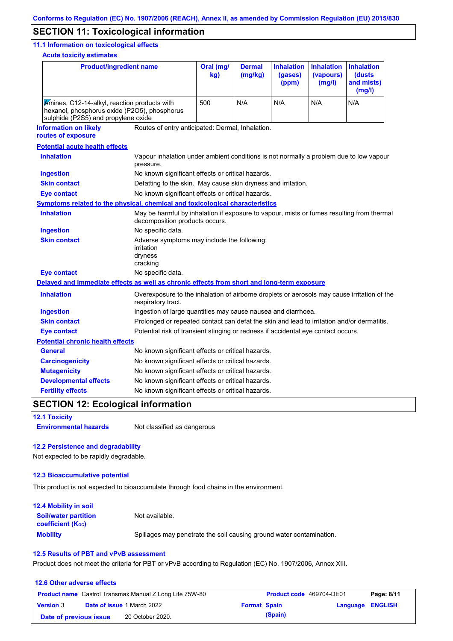## **SECTION 11: Toxicological information**

### **11.1 Information on toxicological effects**

**Acute toxicity estimates**

| <b>Product/ingredient name</b>                                                                                                      |                                                                                                                             | Oral (mg/<br>kg)                                                                           | <b>Dermal</b><br>(mg/kg) | <b>Inhalation</b><br>(gases)<br>(ppm) | <b>Inhalation</b><br>(vapours)<br>(mg/l) | <b>Inhalation</b><br>(dusts<br>and mists)<br>(mg/l) |  |
|-------------------------------------------------------------------------------------------------------------------------------------|-----------------------------------------------------------------------------------------------------------------------------|--------------------------------------------------------------------------------------------|--------------------------|---------------------------------------|------------------------------------------|-----------------------------------------------------|--|
| Amines, C12-14-alkyl, reaction products with<br>hexanol, phosphorus oxide (P2O5), phosphorus<br>sulphide (P2S5) and propylene oxide |                                                                                                                             | 500                                                                                        | N/A                      | N/A                                   | N/A                                      | N/A                                                 |  |
| <b>Information on likely</b><br>routes of exposure                                                                                  | Routes of entry anticipated: Dermal, Inhalation.                                                                            |                                                                                            |                          |                                       |                                          |                                                     |  |
| <b>Potential acute health effects</b>                                                                                               |                                                                                                                             |                                                                                            |                          |                                       |                                          |                                                     |  |
| <b>Inhalation</b>                                                                                                                   | Vapour inhalation under ambient conditions is not normally a problem due to low vapour<br>pressure.                         |                                                                                            |                          |                                       |                                          |                                                     |  |
| <b>Ingestion</b>                                                                                                                    | No known significant effects or critical hazards.                                                                           |                                                                                            |                          |                                       |                                          |                                                     |  |
| <b>Skin contact</b>                                                                                                                 | Defatting to the skin. May cause skin dryness and irritation.                                                               |                                                                                            |                          |                                       |                                          |                                                     |  |
| <b>Eye contact</b>                                                                                                                  | No known significant effects or critical hazards.                                                                           |                                                                                            |                          |                                       |                                          |                                                     |  |
| <b>Symptoms related to the physical, chemical and toxicological characteristics</b>                                                 |                                                                                                                             |                                                                                            |                          |                                       |                                          |                                                     |  |
| <b>Inhalation</b>                                                                                                                   | May be harmful by inhalation if exposure to vapour, mists or fumes resulting from thermal<br>decomposition products occurs. |                                                                                            |                          |                                       |                                          |                                                     |  |
| <b>Ingestion</b>                                                                                                                    | No specific data.                                                                                                           |                                                                                            |                          |                                       |                                          |                                                     |  |
| <b>Skin contact</b>                                                                                                                 | irritation<br>dryness<br>cracking                                                                                           | Adverse symptoms may include the following:                                                |                          |                                       |                                          |                                                     |  |
| <b>Eye contact</b>                                                                                                                  | No specific data.                                                                                                           |                                                                                            |                          |                                       |                                          |                                                     |  |
| Delayed and immediate effects as well as chronic effects from short and long-term exposure                                          |                                                                                                                             |                                                                                            |                          |                                       |                                          |                                                     |  |
| <b>Inhalation</b>                                                                                                                   | Overexposure to the inhalation of airborne droplets or aerosols may cause irritation of the<br>respiratory tract.           |                                                                                            |                          |                                       |                                          |                                                     |  |
| <b>Ingestion</b>                                                                                                                    |                                                                                                                             | Ingestion of large quantities may cause nausea and diarrhoea.                              |                          |                                       |                                          |                                                     |  |
| <b>Skin contact</b>                                                                                                                 |                                                                                                                             | Prolonged or repeated contact can defat the skin and lead to irritation and/or dermatitis. |                          |                                       |                                          |                                                     |  |
| <b>Eye contact</b>                                                                                                                  |                                                                                                                             | Potential risk of transient stinging or redness if accidental eye contact occurs.          |                          |                                       |                                          |                                                     |  |
| <b>Potential chronic health effects</b>                                                                                             |                                                                                                                             |                                                                                            |                          |                                       |                                          |                                                     |  |
| <b>General</b>                                                                                                                      | No known significant effects or critical hazards.                                                                           |                                                                                            |                          |                                       |                                          |                                                     |  |
| <b>Carcinogenicity</b>                                                                                                              | No known significant effects or critical hazards.                                                                           |                                                                                            |                          |                                       |                                          |                                                     |  |
| <b>Mutagenicity</b>                                                                                                                 | No known significant effects or critical hazards.                                                                           |                                                                                            |                          |                                       |                                          |                                                     |  |
| <b>Developmental effects</b>                                                                                                        | No known significant effects or critical hazards.                                                                           |                                                                                            |                          |                                       |                                          |                                                     |  |
| <b>Fertility effects</b>                                                                                                            | No known significant effects or critical hazards.                                                                           |                                                                                            |                          |                                       |                                          |                                                     |  |

# **SECTION 12: Ecological information**

**12.1 Toxicity**

**Environmental hazards** Not classified as dangerous

### **12.2 Persistence and degradability**

Not expected to be rapidly degradable.

#### **12.3 Bioaccumulative potential**

This product is not expected to bioaccumulate through food chains in the environment.

| <b>12.4 Mobility in soil</b>                            |                                                                      |
|---------------------------------------------------------|----------------------------------------------------------------------|
| <b>Soil/water partition</b><br><b>coefficient (Koc)</b> | Not available.                                                       |
| <b>Mobility</b>                                         | Spillages may penetrate the soil causing ground water contamination. |

### **12.5 Results of PBT and vPvB assessment**

Product does not meet the criteria for PBT or vPvB according to Regulation (EC) No. 1907/2006, Annex XIII.

### **12.6 Other adverse effects Product name** Castrol Transmax Manual Z Long Life 75W-80 **Product code** 469704-DE01 **Page: 8/11 Version** 3 **Date of issue** 1 March 2022 **Format Spain Language ENGLISH Date of previous issue (Spain)** 20 October 2020.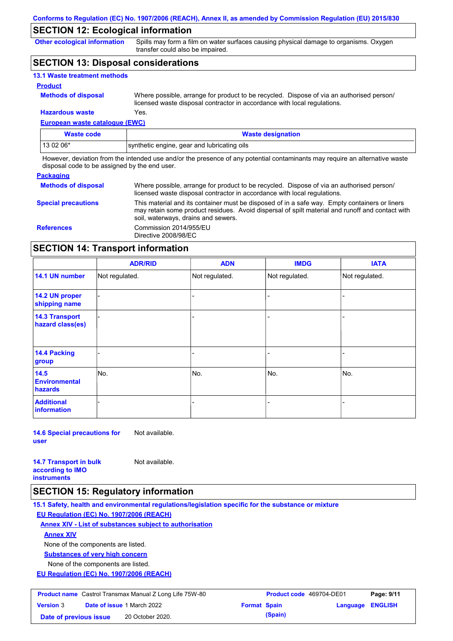## **SECTION 12: Ecological information**

**Other ecological information**

Spills may form a film on water surfaces causing physical damage to organisms. Oxygen transfer could also be impaired.

## **SECTION 13: Disposal considerations**

| <b>13.1 Waste treatment methods</b> |                                                                                                                                                                      |
|-------------------------------------|----------------------------------------------------------------------------------------------------------------------------------------------------------------------|
| <b>Product</b>                      |                                                                                                                                                                      |
| <b>Methods of disposal</b>          | Where possible, arrange for product to be recycled. Dispose of via an authorised person/<br>licensed waste disposal contractor in accordance with local regulations. |
| <b>Hazardous waste</b>              | Yes.                                                                                                                                                                 |

## **European waste catalogue (EWC)**

| Waste code | <b>Waste designation</b>                    |  |
|------------|---------------------------------------------|--|
| 13 02 06*  | synthetic engine, gear and lubricating oils |  |

However, deviation from the intended use and/or the presence of any potential contaminants may require an alternative waste disposal code to be assigned by the end user.

### **Packaging**

| <b>Methods of disposal</b> | Where possible, arrange for product to be recycled. Dispose of via an authorised person/<br>licensed waste disposal contractor in accordance with local regulations.                                                                    |
|----------------------------|-----------------------------------------------------------------------------------------------------------------------------------------------------------------------------------------------------------------------------------------|
| <b>Special precautions</b> | This material and its container must be disposed of in a safe way. Empty containers or liners<br>may retain some product residues. Avoid dispersal of spilt material and runoff and contact with<br>soil, waterways, drains and sewers. |
| <b>References</b>          | Commission 2014/955/EU<br>Directive 2008/98/EC                                                                                                                                                                                          |

## **SECTION 14: Transport information**

|                                           | <b>ADR/RID</b> | <b>ADN</b>     | <b>IMDG</b>    | <b>IATA</b>    |
|-------------------------------------------|----------------|----------------|----------------|----------------|
| 14.1 UN number                            | Not regulated. | Not regulated. | Not regulated. | Not regulated. |
| 14.2 UN proper<br>shipping name           |                |                |                |                |
| <b>14.3 Transport</b><br>hazard class(es) |                |                |                |                |
| 14.4 Packing<br>group                     |                |                |                |                |
| 14.5<br><b>Environmental</b><br>hazards   | No.            | No.            | No.            | No.            |
| <b>Additional</b><br>information          |                |                | -              |                |

**14.6 Special precautions for user** Not available.

**14.7 Transport in bulk according to IMO** 

Not available.

**instruments**

### **SECTION 15: Regulatory information**

**15.1 Safety, health and environmental regulations/legislation specific for the substance or mixture**

**EU Regulation (EC) No. 1907/2006 (REACH)**

**Annex XIV - List of substances subject to authorisation**

### **Annex XIV**

None of the components are listed.

**Substances of very high concern**

None of the components are listed.

**EU Regulation (EC) No. 1907/2006 (REACH)**

| <b>Product name</b> Castrol Transmax Manual Z Long Life 75W-80 |  | <b>Product code</b> 469704-DE01   |                     | Page: 9/11 |                         |  |
|----------------------------------------------------------------|--|-----------------------------------|---------------------|------------|-------------------------|--|
| <b>Version 3</b>                                               |  | <b>Date of issue 1 March 2022</b> | <b>Format Spain</b> |            | <b>Language ENGLISH</b> |  |
| Date of previous issue                                         |  | 20 October 2020.                  |                     | (Spain)    |                         |  |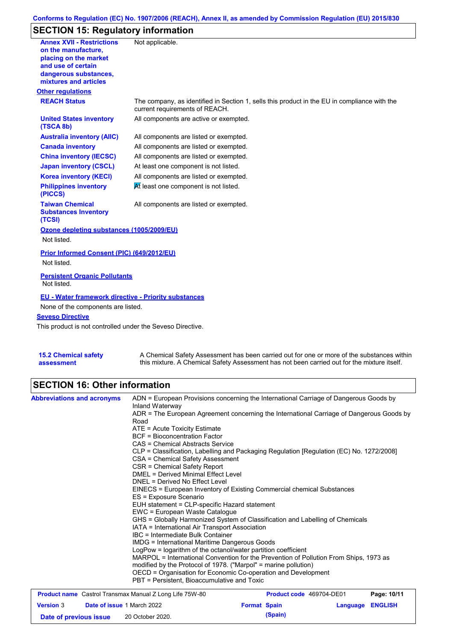### **Conforms to Regulation (EC) No. 1907/2006 (REACH), Annex II, as amended by Commission Regulation (EU) 2015/830**

# **SECTION 15: Regulatory information**

| <b>Annex XVII - Restrictions</b>                                | Not applicable.                                                                                                                |
|-----------------------------------------------------------------|--------------------------------------------------------------------------------------------------------------------------------|
| on the manufacture.                                             |                                                                                                                                |
| placing on the market<br>and use of certain                     |                                                                                                                                |
| dangerous substances,                                           |                                                                                                                                |
| mixtures and articles                                           |                                                                                                                                |
| <b>Other regulations</b>                                        |                                                                                                                                |
| <b>REACH Status</b>                                             | The company, as identified in Section 1, sells this product in the EU in compliance with the<br>current requirements of REACH. |
| <b>United States inventory</b><br>(TSCA 8b)                     | All components are active or exempted.                                                                                         |
| <b>Australia inventory (AIIC)</b>                               | All components are listed or exempted.                                                                                         |
| <b>Canada inventory</b>                                         | All components are listed or exempted.                                                                                         |
| <b>China inventory (IECSC)</b>                                  | All components are listed or exempted.                                                                                         |
| <b>Japan inventory (CSCL)</b>                                   | At least one component is not listed.                                                                                          |
| <b>Korea inventory (KECI)</b>                                   | All components are listed or exempted.                                                                                         |
| <b>Philippines inventory</b><br>(PICCS)                         | At least one component is not listed.                                                                                          |
| <b>Taiwan Chemical</b><br><b>Substances Inventory</b><br>(TCSI) | All components are listed or exempted.                                                                                         |
| Ozone depleting substances (1005/2009/EU)                       |                                                                                                                                |
| Not listed.                                                     |                                                                                                                                |
| Prior Informed Consent (PIC) (649/2012/EU)                      |                                                                                                                                |
| Not listed.                                                     |                                                                                                                                |
| <b>Persistent Organic Pollutants</b>                            |                                                                                                                                |
| Not listed.                                                     |                                                                                                                                |
| <b>EU - Water framework directive - Priority substances</b>     |                                                                                                                                |
| None of the components are listed.                              |                                                                                                                                |
| <b>Seveso Directive</b>                                         |                                                                                                                                |
| This product is not controlled under the Seveso Directive.      |                                                                                                                                |
|                                                                 |                                                                                                                                |
| <b>15.2 Chemical safety</b>                                     | A Chemical Safety Assessment has been carried out for one or more of the substances within                                     |

A Chemical Safety Assessment has been carried out for one or more of the substances within this mixture. A Chemical Safety Assessment has not been carried out for the mixture itself.

# **SECTION 16: Other information**

**assessment**

| <b>Abbreviations and acronyms</b>                              | ADN = European Provisions concerning the International Carriage of Dangerous Goods by<br>Inland Waterway<br>ADR = The European Agreement concerning the International Carriage of Dangerous Goods by<br>Road<br>ATE = Acute Toxicity Estimate<br><b>BCF</b> = Bioconcentration Factor<br>CAS = Chemical Abstracts Service<br>CLP = Classification, Labelling and Packaging Regulation [Regulation (EC) No. 1272/2008]<br>CSA = Chemical Safety Assessment<br>CSR = Chemical Safety Report<br>DMEL = Derived Minimal Effect Level<br>DNEL = Derived No Effect Level<br>EINECS = European Inventory of Existing Commercial chemical Substances<br>ES = Exposure Scenario<br>EUH statement = CLP-specific Hazard statement<br>EWC = European Waste Catalogue<br>GHS = Globally Harmonized System of Classification and Labelling of Chemicals<br>IATA = International Air Transport Association<br>IBC = Intermediate Bulk Container<br><b>IMDG = International Maritime Dangerous Goods</b><br>LogPow = logarithm of the octanol/water partition coefficient<br>MARPOL = International Convention for the Prevention of Pollution From Ships, 1973 as<br>modified by the Protocol of 1978. ("Marpol" = marine pollution)<br>OECD = Organisation for Economic Co-operation and Development<br>PBT = Persistent, Bioaccumulative and Toxic |                          |          |                |
|----------------------------------------------------------------|----------------------------------------------------------------------------------------------------------------------------------------------------------------------------------------------------------------------------------------------------------------------------------------------------------------------------------------------------------------------------------------------------------------------------------------------------------------------------------------------------------------------------------------------------------------------------------------------------------------------------------------------------------------------------------------------------------------------------------------------------------------------------------------------------------------------------------------------------------------------------------------------------------------------------------------------------------------------------------------------------------------------------------------------------------------------------------------------------------------------------------------------------------------------------------------------------------------------------------------------------------------------------------------------------------------------------------------|--------------------------|----------|----------------|
| <b>Product name</b> Castrol Transmax Manual Z Long Life 75W-80 |                                                                                                                                                                                                                                                                                                                                                                                                                                                                                                                                                                                                                                                                                                                                                                                                                                                                                                                                                                                                                                                                                                                                                                                                                                                                                                                                        | Product code 469704-DE01 |          | Page: 10/11    |
| Date of issue 1 March 2022<br><b>Version 3</b>                 |                                                                                                                                                                                                                                                                                                                                                                                                                                                                                                                                                                                                                                                                                                                                                                                                                                                                                                                                                                                                                                                                                                                                                                                                                                                                                                                                        | <b>Format Spain</b>      | Language | <b>ENGLISH</b> |

**Date of previous issue (Spain)** 20 October 2020.